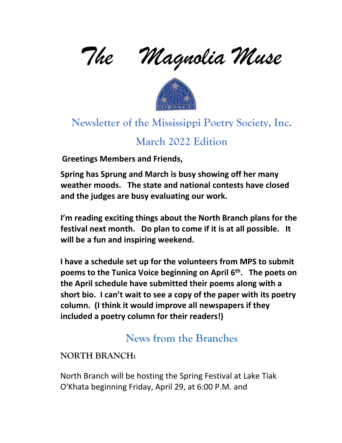*The Magnolia Muse* 



# **Newsletter of the Mississippi Poetry Society, Inc.**

## **March 2022 Edition**

**Greetings Members and Friends,** 

**Spring has Sprung and March is busy showing off her many weather moods. The state and national contests have closed and the judges are busy evaluating our work.** 

**I'm reading exciting things about the North Branch plans for the festival next month. Do plan to come if it is at all possible. It will be a fun and inspiring weekend.** 

**I have a schedule set up for the volunteers from MPS to submit poems to the Tunica Voice beginning on April 6th . The poets on the April schedule have submitted their poems along with a short bio. I can't wait to see a copy of the paper with its poetry column. (I think it would improve all newspapers if they included a poetry column for their readers!)**

# **News from the Branches**

## **NORTH BRANCH:**

North Branch will be hosting the Spring Festival at Lake Tiak O'Khata beginning Friday, April 29, at 6:00 P.M. and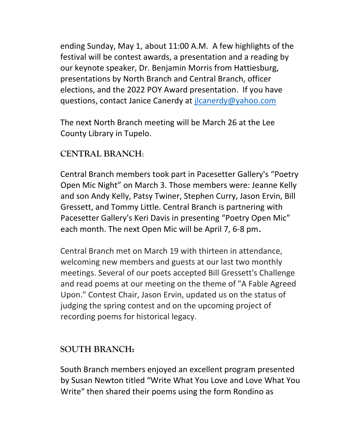ending Sunday, May 1, about 11:00 A.M. A few highlights of the festival will be contest awards, a presentation and a reading by our keynote speaker, Dr. Benjamin Morris from Hattiesburg, presentations by North Branch and Central Branch, officer elections, and the 2022 POY Award presentation. If you have questions, contact Janice Canerdy at [jlcanerdy@yahoo.com](mailto:jlcanerdy@yahoo.com)

The next North Branch meeting will be March 26 at the Lee County Library in Tupelo.

### **CENTRAL BRANCH**:

Central Branch members took part in Pacesetter Gallery's "Poetry Open Mic Night" on March 3. Those members were: Jeanne Kelly and son Andy Kelly, Patsy Twiner, Stephen Curry, Jason Ervin, Bill Gressett, and Tommy Little. Central Branch is partnering with Pacesetter Gallery's Keri Davis in presenting "Poetry Open Mic" each month. The next Open Mic will be April 7, 6-8 pm.

Central Branch met on March 19 with thirteen in attendance, welcoming new members and guests at our last two monthly meetings. Several of our poets accepted Bill Gressett's Challenge and read poems at our meeting on the theme of "A Fable Agreed Upon." Contest Chair, Jason Ervin, updated us on the status of judging the spring contest and on the upcoming project of recording poems for historical legacy.

### **SOUTH BRANCH:**

South Branch members enjoyed an excellent program presented by Susan Newton titled "Write What You Love and Love What You Write" then shared their poems using the form Rondino as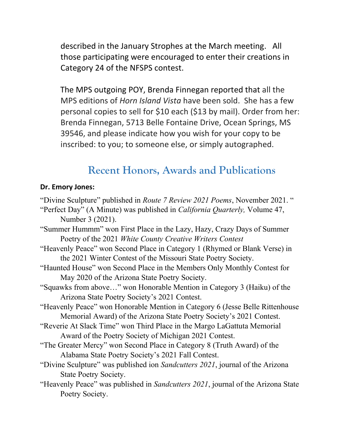described in the January Strophes at the March meeting. All those participating were encouraged to enter their creations in Category 24 of the NFSPS contest.

The MPS outgoing POY, Brenda Finnegan reported that all the MPS editions of *Horn Island Vista* have been sold. She has a few personal copies to sell for \$10 each (\$13 by mail). Order from her: Brenda Finnegan, 5713 Belle Fontaine Drive, Ocean Springs, MS 39546, and please indicate how you wish for your copy to be inscribed: to you; to someone else, or simply autographed.

## **Recent Honors, Awards and Publications**

#### **Dr. Emory Jones:**

- "Divine Sculpture" published in *Route 7 Review 2021 Poems*, November 2021. "
- "Perfect Day" (A Minute) was published in *California Quarterly,* Volume 47, Number 3 (2021).
- "Summer Hummm" won First Place in the Lazy, Hazy, Crazy Days of Summer Poetry of the 2021 *White County Creative Writers Contest*
- "Heavenly Peace" won Second Place in Category 1 (Rhymed or Blank Verse) in the 2021 Winter Contest of the Missouri State Poetry Society.
- "Haunted House" won Second Place in the Members Only Monthly Contest for May 2020 of the Arizona State Poetry Society.
- "Squawks from above…" won Honorable Mention in Category 3 (Haiku) of the Arizona State Poetry Society's 2021 Contest.
- "Heavenly Peace" won Honorable Mention in Category 6 (Jesse Belle Rittenhouse Memorial Award) of the Arizona State Poetry Society's 2021 Contest.
- "Reverie At Slack Time" won Third Place in the Margo LaGattuta Memorial Award of the Poetry Society of Michigan 2021 Contest.
- "The Greater Mercy" won Second Place in Category 8 (Truth Award) of the Alabama State Poetry Society's 2021 Fall Contest.
- "Divine Sculpture" was published ion *Sandcutters 2021*, journal of the Arizona State Poetry Society.
- "Heavenly Peace" was published in *Sandcutters 2021*, journal of the Arizona State Poetry Society.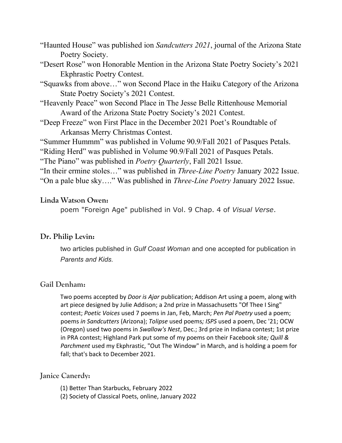- "Haunted House" was published ion *Sandcutters 2021*, journal of the Arizona State Poetry Society.
- "Desert Rose" won Honorable Mention in the Arizona State Poetry Society's 2021 Ekphrastic Poetry Contest.
- "Squawks from above…" won Second Place in the Haiku Category of the Arizona State Poetry Society's 2021 Contest.
- "Heavenly Peace" won Second Place in The Jesse Belle Rittenhouse Memorial Award of the Arizona State Poetry Society's 2021 Contest.
- "Deep Freeze" won First Place in the December 2021 Poet's Roundtable of Arkansas Merry Christmas Contest.

"Summer Hummm" was published in Volume 90.9/Fall 2021 of Pasques Petals.

"Riding Herd" was published in Volume 90.9/Fall 2021 of Pasques Petals.

"The Piano" was published in *Poetry Quarterly*, Fall 2021 Issue.

"In their ermine stoles…" was published in *Three-Line Poetry* January 2022 Issue. "On a pale blue sky…." Was published in *Three-Line Poetry* January 2022 Issue.

#### **Linda Watson Owen:**

poem "Foreign Age" published in Vol. 9 Chap. 4 of *Visual Verse*.

#### **Dr. Philip Levin:**

two articles published in *Gulf Coast Woman* and one accepted for publication in *Parents and Kids.*

#### **Gail Denham:**

Two poems accepted by *Door is Ajar* publication; Addison Art using a poem, along with art piece designed by Julie Addison; a 2nd prize in Massachusetts "Of Thee I Sing" contest; *Poetic Voices* used 7 poems in Jan, Feb, March; *Pen Pal Poetry* used a poem; poems *in Sandcutters* (Arizona); *Tolipse* used poems*; ISPS* used a poem, Dec '21; OCW (Oregon) used two poems in *Swallow's Nest*, Dec.; 3rd prize in Indiana contest; 1st prize in PRA contest; Highland Park put some of my poems on their Facebook site*; Quill & Parchment* used my Ekphrastic, "Out The Window" in March, and is holding a poem for fall; that's back to December 2021.

#### **Janice Canerdy:**

- (1) Better Than Starbucks, February 2022
- (2) Society of Classical Poets, online, January 2022